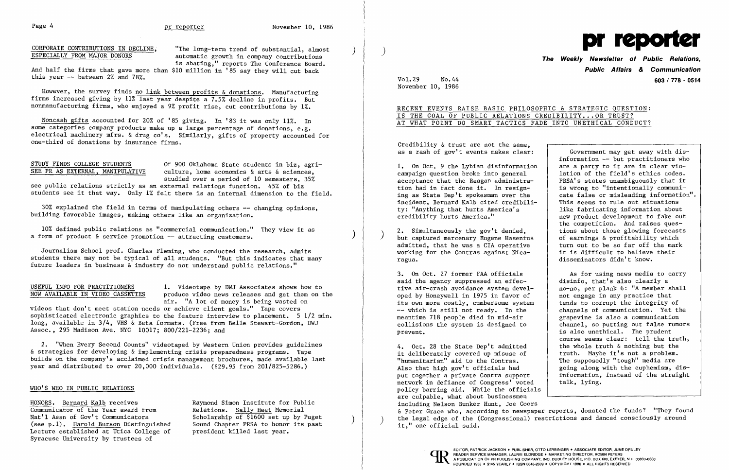CORPORATE CONTRIBUTIONS IN DECLINE, "The long-term trend of substantial, almost<br>ESPECIALLY FROM MAJOR DONORS automatic growth in company contributions is abating," reports The Conference Board.

And half the firms that gave more than \$10 million in '85 say they will cut back this year -- between 2% and 78%.

However, the survey finds no link between profits & donations. Manufacturing firms increased giving by 11% last year despite a 7.5% decline in profits. But nonmanufacturing firms, who enjoyed a 9% profit rise, cut contributions by 1%.

STUDY FINDS COLLEGE STUDENTS Of 900 Oklahoma State students in biz, agri-<br>SEE PR AS EXTERNAL. MANIPULATIVE culture. home economics & arts & sciences.  $culture, home economics & arts & sciences.$ studied over a period of 10 semesters, 35%

10% defined public relations as "commercial communication." They view it as a form of product  $\&$  service promotion  $--$  attracting customers.

Noncash gifts accounted for 20% of '85 giving. In '83 it was only 11%. In some categories company products make up a large percentage of donations, e.g. electrical machinery mfrs. & drug co's. Similarly, gifts of property accounted for one-third of donations by insurance firms.

see public relations strictly as an external relations function. 45% of biz students see it that way. Only 1% felt there is an internal dimension to the field.

30% explained the field in terms of manipulating others -- changing opinions, building favorable images, making others like an organization.

information -- but practitioners who are a party to it are in clear violation of the field's ethics codes.<br>PRSA's states unambiguously that it cate false or misleading information".<br>This seems to rule out situations new product development to fake out the competition. And raises quesof earnings & profitability which<br>turn out to be so far off the mark<br>it is difficult to believe their disseminators didn't know.

campaign question broke into general **1.** On Oct. 9 the Lybian disinformation acceptance that the Reagan administra-<br>tion had in fact done it. In resign-<br>is wrong to "intentionally communition had in fact done it. In resign-<br>ing as State Dep't spokesman over the incident, Bernard Kalb cited credibili-<br>ty: "Anything that hurts America's ty: "Anything that hurts America's like fabricating information about credibility hurts America."

) 2. Simultaneously the gov't denied, <br>
but captured mercenary Eugene Hasenfus states of earnings & profitability which admitted, that he was a CIA operative working for the Contras against Nica-ragua.

Journalism School prof. Charles Fleming, who conducted the research, admits students there may not be typical of all students. "But this indicates that many future leaders in business & industry do not understand public relations."

USEFUL INFO FOR PRACTITIONERS **1.** Videotape by DWJ Associates shows how to produce video news releases and get them on the air. "A lot of money is being wasted on

said the agency suppressed an effec-3. On Oct. 27 former FAA officials tive air-crash avoidance system devel-  $\vert$  no-no, per plank 6: "A member shall oped by Honeywell in 1975 in favor of  $\qquad$  not engage in any practice that its own more costly, cumbersome system  $\qquad$  tends to corrupt the integrity of its own more costly, cumbersome system  $-$  which is still not ready. In the  $-$  channels of communication. Yet the  $--$  which is still not ready. In the meantime 718 people died in mid-air meantime 718 people died in mid-air <br>collisions the system is designed to <br>channel, so putting out false rums prevent. The prudent is also unethical. The prudent

it deliberately covered up misuse of "humanitarian" aid to the Contras. 4. Oct. 28 the State Dep't admitted truth. Maybe it's not a problem. "humanitarian" aid to the Contras.<br>Also that high gov't officials had are going along with the euphemism, d going along with the euphemism, dis-<br>information, instead of the straight put together a private Contra support (information, instead of Congress' voted talk, lying. network in defiance of Congress' voted policy barring aid. While the officials are culpable, what about businessmen including Nelson Bunker Hunt, Joe Coors & Peter Grace who, according to newspaper reports, donated the funds? "They found Nat'l Assn of Gov't Communicators scholarship of \$1600 set up by Puget (see p.1) the legal edge of the (Congressional) restrictions and danced consciously around (see p.1). <u>Harold Burson</u> Distinguished Sound Chapter PRSA

videos that don't meet station needs or achieve client goals." Tape covers sophisticated electronic graphics to the feature interview to placement.  $5 \frac{1}{2}$  min. long, available in 3/4, VHS & Beta formats. (Free from Belle Stewart-Gordon, DWJ Assoc., 295 Madison Ave. NYC 10017; 800/221-2236; and

2. "When Every Second Counts" videotaped by Western Union provides guidelines & strategies for developing &implementing crisis preparedness programs. Tape builds on the company's acclaimed crisis management brochures, made available last year and distributed to over 20,000 individuals. (\$29.95 from 201/825-5286.)

## WHO'S WHO IN PUBLIC RELATIONS



# *The* **Weekly Newsletter of Public Relations, Public Affairs** & .**Communication**  Vol.29 No.44 **603/ 778 - 0514**

November 10, 1986

HONORS. Bernard Kalb receives<br>
Communicator of the Year award from Relations. Sally Heet Memorial Communicator of the Year award from Relations. Sally Heet Memorial<br>Nat'l Assn of Gov't Communicators Scholarship of \$1600 set up by Puget Lecture established at Utica College of Syracuse University by trustees of

RECENT EVENTS RAISE BASIC PHILOSOPHIC & STRATEGIC QUESTION: IS THE GOAL OF PUBLIC RELATIONS CREDIBILITY...OR TRUST? AT WHAT POINT DO SMART TACTICS FADE INTO UNETHICAL CONDUCT?

Credibility & trust are not the same. as a rash of gov't events makes clear:  $\int$  Government may get away with dis-

> As for using news media to carry disinfo, that's also clearly a channel, so putting out false rumors course seems clear: tell the truth, the whole truth & nothing but the